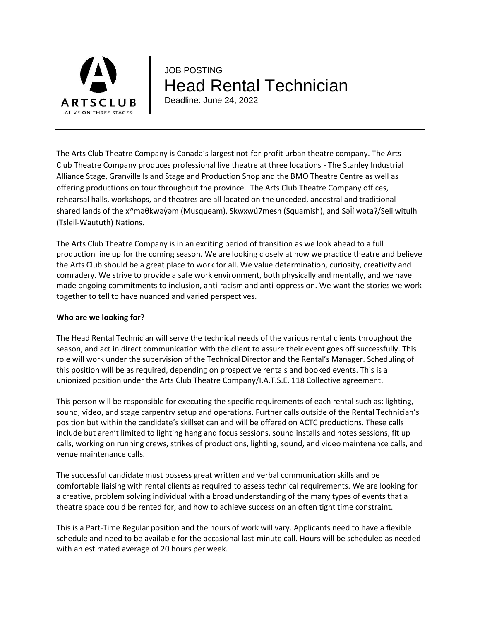

# JOB POSTING Head Rental Technician

Deadline: June 24, 2022

The Arts Club Theatre Company is Canada's largest not-for-profit urban theatre company. The Arts Club Theatre Company produces professional live theatre at three locations - The Stanley Industrial Alliance Stage, Granville Island Stage and Production Shop and the BMO Theatre Centre as well as offering productions on tour throughout the province. The Arts Club Theatre Company offices, rehearsal halls, workshops, and theatres are all located on the unceded, ancestral and traditional shared lands of the x<sup>w</sup>məθkwəy̓əm (Musqueam), Skwxwú7mesh (Squamish), and Səlilwətaʔ/Selilwitulh (Tsleil-Waututh) Nations.

The Arts Club Theatre Company is in an exciting period of transition as we look ahead to a full production line up for the coming season. We are looking closely at how we practice theatre and believe the Arts Club should be a great place to work for all. We value determination, curiosity, creativity and comradery. We strive to provide a safe work environment, both physically and mentally, and we have made ongoing commitments to inclusion, anti-racism and anti-oppression. We want the stories we work together to tell to have nuanced and varied perspectives.

### **Who are we looking for?**

The Head Rental Technician will serve the technical needs of the various rental clients throughout the season, and act in direct communication with the client to assure their event goes off successfully. This role will work under the supervision of the Technical Director and the Rental's Manager. Scheduling of this position will be as required, depending on prospective rentals and booked events. This is a unionized position under the Arts Club Theatre Company/I.A.T.S.E. 118 Collective agreement.

This person will be responsible for executing the specific requirements of each rental such as; lighting, sound, video, and stage carpentry setup and operations. Further calls outside of the Rental Technician's position but within the candidate's skillset can and will be offered on ACTC productions. These calls include but aren't limited to lighting hang and focus sessions, sound installs and notes sessions, fit up calls, working on running crews, strikes of productions, lighting, sound, and video maintenance calls, and venue maintenance calls.

The successful candidate must possess great written and verbal communication skills and be comfortable liaising with rental clients as required to assess technical requirements. We are looking for a creative, problem solving individual with a broad understanding of the many types of events that a theatre space could be rented for, and how to achieve success on an often tight time constraint.

This is a Part-Time Regular position and the hours of work will vary. Applicants need to have a flexible schedule and need to be available for the occasional last-minute call. Hours will be scheduled as needed with an estimated average of 20 hours per week.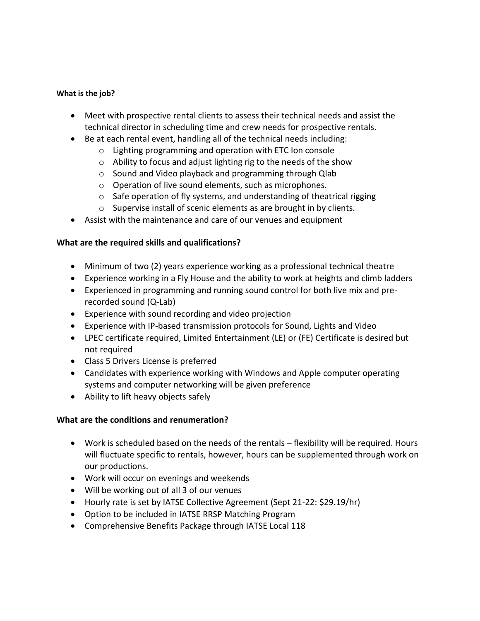#### **What is the job?**

- Meet with prospective rental clients to assess their technical needs and assist the technical director in scheduling time and crew needs for prospective rentals.
- Be at each rental event, handling all of the technical needs including:
	- o Lighting programming and operation with ETC Ion console
	- o Ability to focus and adjust lighting rig to the needs of the show
	- o Sound and Video playback and programming through Qlab
	- o Operation of live sound elements, such as microphones.
	- o Safe operation of fly systems, and understanding of theatrical rigging
	- o Supervise install of scenic elements as are brought in by clients.
- Assist with the maintenance and care of our venues and equipment

## **What are the required skills and qualifications?**

- Minimum of two (2) years experience working as a professional technical theatre
- Experience working in a Fly House and the ability to work at heights and climb ladders
- Experienced in programming and running sound control for both live mix and prerecorded sound (Q-Lab)
- Experience with sound recording and video projection
- Experience with IP-based transmission protocols for Sound, Lights and Video
- LPEC certificate required, Limited Entertainment (LE) or (FE) Certificate is desired but not required
- Class 5 Drivers License is preferred
- Candidates with experience working with Windows and Apple computer operating systems and computer networking will be given preference
- Ability to lift heavy objects safely

# **What are the conditions and renumeration?**

- Work is scheduled based on the needs of the rentals flexibility will be required. Hours will fluctuate specific to rentals, however, hours can be supplemented through work on our productions.
- Work will occur on evenings and weekends
- Will be working out of all 3 of our venues
- Hourly rate is set by IATSE Collective Agreement (Sept 21-22: \$29.19/hr)
- Option to be included in IATSE RRSP Matching Program
- Comprehensive Benefits Package through IATSE Local 118